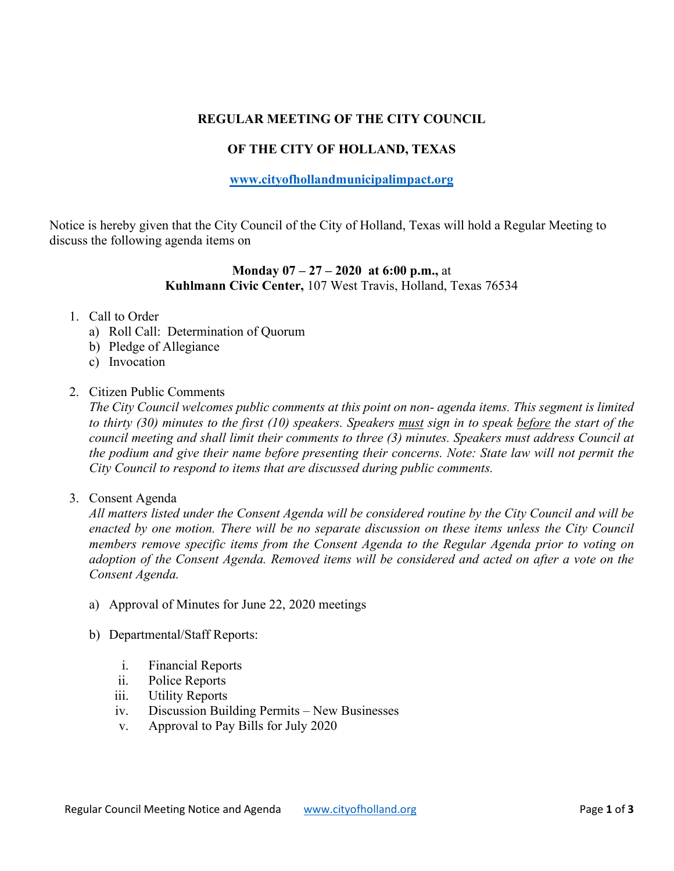# **REGULAR MEETING OF THE CITY COUNCIL**

## **OF THE CITY OF HOLLAND, TEXAS**

### **[www.cityofhollandmunicipalimpact.org](http://www.cityofhollandmunicipalimpact.org/)**

Notice is hereby given that the City Council of the City of Holland, Texas will hold a Regular Meeting to discuss the following agenda items on

## **Monday 07 – 27 – 2020 at 6:00 p.m.,** at **Kuhlmann Civic Center,** 107 West Travis, Holland, Texas 76534

#### 1. Call to Order

- a) Roll Call: Determination of Quorum
- b) Pledge of Allegiance
- c) Invocation

### 2. Citizen Public Comments

*The City Council welcomes public comments at this point on non- agenda items. This segment is limited to thirty (30) minutes to the first (10) speakers. Speakers must sign in to speak before the start of the council meeting and shall limit their comments to three (3) minutes. Speakers must address Council at the podium and give their name before presenting their concerns. Note: State law will not permit the City Council to respond to items that are discussed during public comments.* 

#### 3. Consent Agenda

*All matters listed under the Consent Agenda will be considered routine by the City Council and will be enacted by one motion. There will be no separate discussion on these items unless the City Council members remove specific items from the Consent Agenda to the Regular Agenda prior to voting on adoption of the Consent Agenda. Removed items will be considered and acted on after a vote on the Consent Agenda.*

- a) Approval of Minutes for June 22, 2020 meetings
- b) Departmental/Staff Reports:
	- i. Financial Reports
	- ii. Police Reports
	- iii. Utility Reports
	- iv. Discussion Building Permits New Businesses
	- v. Approval to Pay Bills for July 2020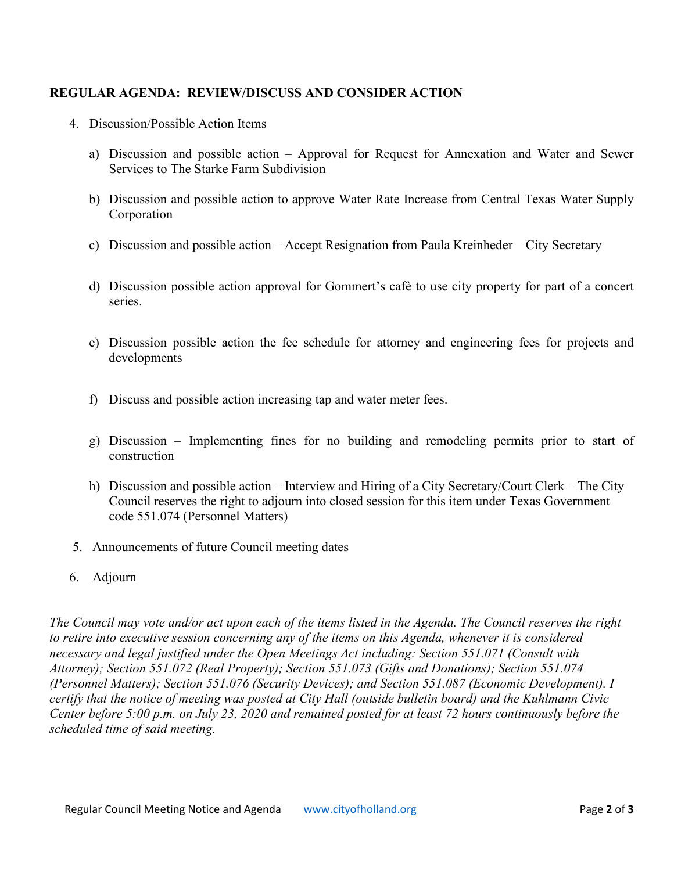## **REGULAR AGENDA: REVIEW/DISCUSS AND CONSIDER ACTION**

- 4. Discussion/Possible Action Items
	- a) Discussion and possible action Approval for Request for Annexation and Water and Sewer Services to The Starke Farm Subdivision
	- b) Discussion and possible action to approve Water Rate Increase from Central Texas Water Supply Corporation
	- c) Discussion and possible action Accept Resignation from Paula Kreinheder City Secretary
	- d) Discussion possible action approval for Gommert's cafѐ to use city property for part of a concert series.
	- e) Discussion possible action the fee schedule for attorney and engineering fees for projects and developments
	- f) Discuss and possible action increasing tap and water meter fees.
	- g) Discussion Implementing fines for no building and remodeling permits prior to start of construction
	- h) Discussion and possible action Interview and Hiring of a City Secretary/Court Clerk The City Council reserves the right to adjourn into closed session for this item under Texas Government code 551.074 (Personnel Matters)
- 5.Announcements of future Council meeting dates
- 6. Adjourn

*The Council may vote and/or act upon each of the items listed in the Agenda. The Council reserves the right to retire into executive session concerning any of the items on this Agenda, whenever it is considered necessary and legal justified under the Open Meetings Act including: Section 551.071 (Consult with Attorney); Section 551.072 (Real Property); Section 551.073 (Gifts and Donations); Section 551.074 (Personnel Matters); Section 551.076 (Security Devices); and Section 551.087 (Economic Development). I certify that the notice of meeting was posted at City Hall (outside bulletin board) and the Kuhlmann Civic Center before 5:00 p.m. on July 23, 2020 and remained posted for at least 72 hours continuously before the scheduled time of said meeting.*